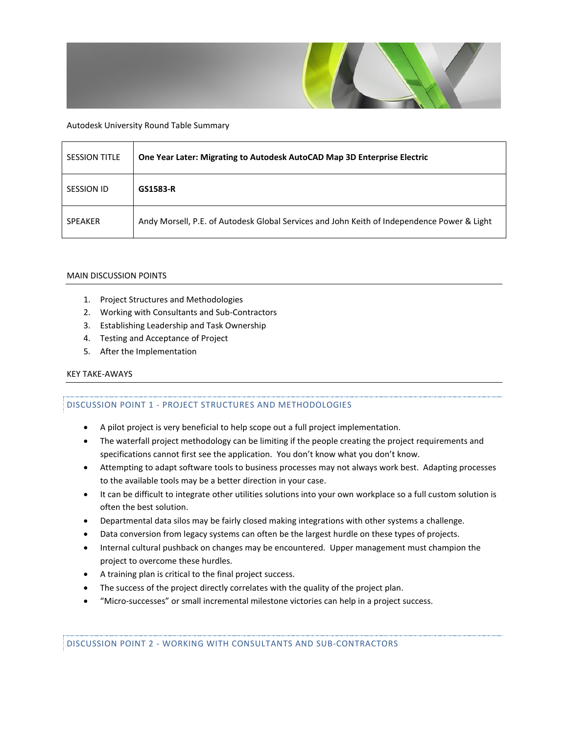

Autodesk University Round Table Summary

| <b>SESSION TITLE</b> | One Year Later: Migrating to Autodesk AutoCAD Map 3D Enterprise Electric                    |
|----------------------|---------------------------------------------------------------------------------------------|
| SESSION ID           | GS1583-R                                                                                    |
| <b>SPEAKER</b>       | Andy Morsell, P.E. of Autodesk Global Services and John Keith of Independence Power & Light |

#### MAIN DISCUSSION POINTS

- 1. Project Structures and Methodologies
- 2. Working with Consultants and Sub-Contractors
- 3. Establishing Leadership and Task Ownership
- 4. Testing and Acceptance of Project
- 5. After the Implementation

### KEY TAKE-AWAYS

### DISCUSSION POINT 1 - PROJECT STRUCTURES AND METHODOLOGIES

- A pilot project is very beneficial to help scope out a full project implementation.
- The waterfall project methodology can be limiting if the people creating the project requirements and specifications cannot first see the application. You don't know what you don't know.
- Attempting to adapt software tools to business processes may not always work best. Adapting processes to the available tools may be a better direction in your case.
- It can be difficult to integrate other utilities solutions into your own workplace so a full custom solution is often the best solution.
- Departmental data silos may be fairly closed making integrations with other systems a challenge.
- Data conversion from legacy systems can often be the largest hurdle on these types of projects.
- Internal cultural pushback on changes may be encountered. Upper management must champion the project to overcome these hurdles.
- A training plan is critical to the final project success.
- The success of the project directly correlates with the quality of the project plan.
- "Micro-successes" or small incremental milestone victories can help in a project success.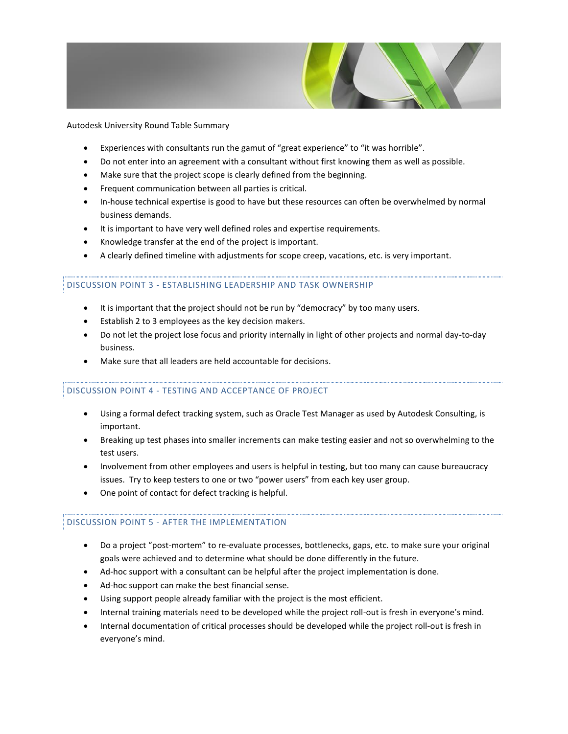

Autodesk University Round Table Summary

- Experiences with consultants run the gamut of "great experience" to "it was horrible".
- Do not enter into an agreement with a consultant without first knowing them as well as possible.
- Make sure that the project scope is clearly defined from the beginning.
- **•** Frequent communication between all parties is critical.
- In-house technical expertise is good to have but these resources can often be overwhelmed by normal business demands.
- It is important to have very well defined roles and expertise requirements.
- Knowledge transfer at the end of the project is important.
- A clearly defined timeline with adjustments for scope creep, vacations, etc. is very important.

## DISCUSSION POINT 3 - ESTABLISHING LEADERSHIP AND TASK OWNERSHIP

- It is important that the project should not be run by "democracy" by too many users.
- Establish 2 to 3 employees as the key decision makers.
- Do not let the project lose focus and priority internally in light of other projects and normal day-to-day business.
- Make sure that all leaders are held accountable for decisions.

# DISCUSSION POINT 4 - TESTING AND ACCEPTANCE OF PROJECT

- Using a formal defect tracking system, such as Oracle Test Manager as used by Autodesk Consulting, is important.
- Breaking up test phases into smaller increments can make testing easier and not so overwhelming to the test users.
- Involvement from other employees and users is helpful in testing, but too many can cause bureaucracy issues. Try to keep testers to one or two "power users" from each key user group.
- One point of contact for defect tracking is helpful.

# DISCUSSION POINT 5 - AFTER THE IMPLEMENTATION

- Do a project "post-mortem" to re-evaluate processes, bottlenecks, gaps, etc. to make sure your original goals were achieved and to determine what should be done differently in the future.
- Ad-hoc support with a consultant can be helpful after the project implementation is done.
- Ad-hoc support can make the best financial sense.
- Using support people already familiar with the project is the most efficient.
- Internal training materials need to be developed while the project roll-out is fresh in everyone's mind.
- Internal documentation of critical processes should be developed while the project roll-out is fresh in everyone's mind.